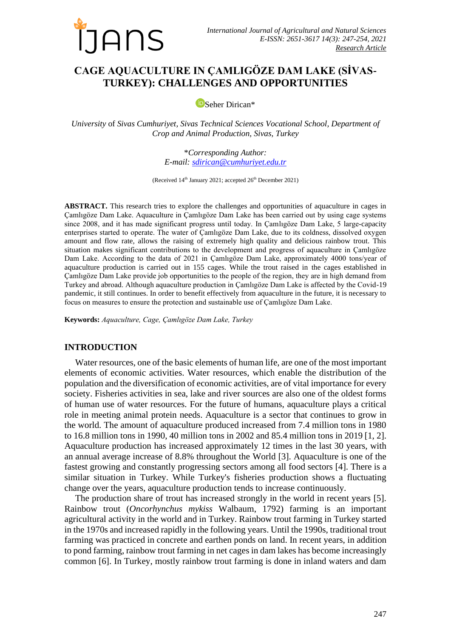

# **CAGE AQUACULTURE IN ÇAMLIGÖZE DAM LAKE (SİVAS-TURKEY): CHALLENGES AND OPPORTUNITIES**

[S](https://orcid.org/0000-0001-9130-5114)eher Dirican\*

*University* of *Sivas Cumhuriyet, Sivas Technical Sciences Vocational School, Department of Crop and Animal Production, Sivas, Turkey*

> \**Corresponding Author: E-mail: [sdirican@cumhuriyet.edu.tr](mailto:sdirican@cumhuriyet.edu.tr)*

(Received 14<sup>th</sup> January 2021; accepted 26<sup>th</sup> December 2021)

**ABSTRACT.** This research tries to explore the challenges and opportunities of aquaculture in cages in Çamlıgöze Dam Lake. Aquaculture in Çamlıgöze Dam Lake has been carried out by using cage systems since 2008, and it has made significant progress until today. In Çamlıgöze Dam Lake, 5 large-capacity enterprises started to operate. The water of Çamlıgöze Dam Lake, due to its coldness, dissolved oxygen amount and flow rate, allows the raising of extremely high quality and delicious rainbow trout. This situation makes significant contributions to the development and progress of aquaculture in Çamlıgöze Dam Lake. According to the data of 2021 in Çamlıgöze Dam Lake, approximately 4000 tons/year of aquaculture production is carried out in 155 cages. While the trout raised in the cages established in Çamlıgöze Dam Lake provide job opportunities to the people of the region, they are in high demand from Turkey and abroad. Although aquaculture production in Çamlıgöze Dam Lake is affected by the Covid-19 pandemic, it still continues. In order to benefit effectively from aquaculture in the future, it is necessary to focus on measures to ensure the protection and sustainable use of Çamlıgöze Dam Lake.

**Keywords:** *Aquaculture, Cage, Çamlıgöze Dam Lake, Turkey*

# **INTRODUCTION**

Water resources, one of the basic elements of human life, are one of the most important elements of economic activities. Water resources, which enable the distribution of the population and the diversification of economic activities, are of vital importance for every society. Fisheries activities in sea, lake and river sources are also one of the oldest forms of human use of water resources. For the future of humans, aquaculture plays a critical role in meeting animal protein needs. Aquaculture is a sector that continues to grow in the world. The amount of aquaculture produced increased from 7.4 million tons in 1980 to 16.8 million tons in 1990, 40 million tons in 2002 and 85.4 million tons in 2019 [1, 2]. Aquaculture production has increased approximately 12 times in the last 30 years, with an annual average increase of 8.8% throughout the World [3]. Aquaculture is one of the fastest growing and constantly progressing sectors among all food sectors [4]. There is a similar situation in Turkey. While Turkey's fisheries production shows a fluctuating change over the years, aquaculture production tends to increase continuously.

The production share of trout has increased strongly in the world in recent years [5]. Rainbow trout (*Oncorhynchus mykiss* Walbaum, 1792) farming is an important agricultural activity in the world and in Turkey. Rainbow trout farming in Turkey started in the 1970s and increased rapidly in the following years. Until the 1990s, traditional trout farming was practiced in concrete and earthen ponds on land. In recent years, in addition to pond farming, rainbow trout farming in net cages in dam lakes has become increasingly common [6]. In Turkey, mostly rainbow trout farming is done in inland waters and dam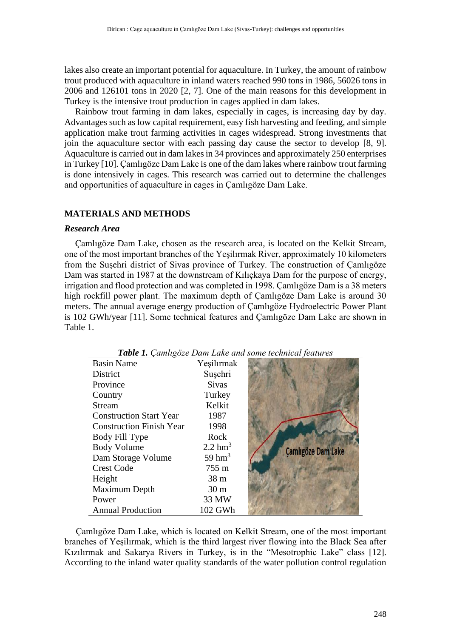lakes also create an important potential for aquaculture. In Turkey, the amount of rainbow trout produced with aquaculture in inland waters reached 990 tons in 1986, 56026 tons in 2006 and 126101 tons in 2020 [2, 7]. One of the main reasons for this development in Turkey is the intensive trout production in cages applied in dam lakes.

Rainbow trout farming in dam lakes, especially in cages, is increasing day by day. Advantages such as low capital requirement, easy fish harvesting and feeding, and simple application make trout farming activities in cages widespread. Strong investments that join the aquaculture sector with each passing day cause the sector to develop [8, 9]. Aquaculture is carried out in dam lakes in 34 provinces and approximately 250 enterprises in Turkey [10]. Çamlıgöze Dam Lake is one of the dam lakes where rainbow trout farming is done intensively in cages. This research was carried out to determine the challenges and opportunities of aquaculture in cages in Çamlıgöze Dam Lake.

# **MATERIALS AND METHODS**

#### *Research Area*

Çamlıgöze Dam Lake, chosen as the research area, is located on the Kelkit Stream, one of the most important branches of the Yeşilırmak River, approximately 10 kilometers from the Suşehri district of Sivas province of Turkey. The construction of Çamlıgöze Dam was started in 1987 at the downstream of Kılıçkaya Dam for the purpose of energy, irrigation and flood protection and was completed in 1998. Çamlıgöze Dam is a 38 meters high rockfill power plant. The maximum depth of Çamlıgöze Dam Lake is around 30 meters. The annual average energy production of Çamlıgöze Hydroelectric Power Plant is 102 GWh/year [11]. Some technical features and Çamlıgöze Dam Lake are shown in Table 1.

| <b>Basin Name</b>               | Yeşilırmak            |                           |
|---------------------------------|-----------------------|---------------------------|
| <b>District</b>                 | Suşehri               |                           |
| Province                        | <b>Sivas</b>          |                           |
| Country                         | Turkey                |                           |
| <b>Stream</b>                   | Kelkit                |                           |
| <b>Construction Start Year</b>  | 1987                  |                           |
| <b>Construction Finish Year</b> | 1998                  |                           |
| Body Fill Type                  | Rock                  |                           |
| <b>Body Volume</b>              | $2.2$ hm <sup>3</sup> | <b>Çamlıgöze Dam Lake</b> |
| Dam Storage Volume              | 59 $hm3$              |                           |
| <b>Crest Code</b>               | 755 m                 |                           |
| Height                          | 38 <sub>m</sub>       |                           |
| Maximum Depth                   | 30 <sub>m</sub>       |                           |
| Power                           | 33 MW                 |                           |
| <b>Annual Production</b>        | 102 GWh               |                           |

*Table 1. Çamlıgöze Dam Lake and some technical features*

 Çamlıgöze Dam Lake, which is located on Kelkit Stream, one of the most important branches of Yeşilırmak, which is the third largest river flowing into the Black Sea after Kızılırmak and Sakarya Rivers in Turkey, is in the "Mesotrophic Lake" class [12]. According to the inland water quality standards of the water pollution control regulation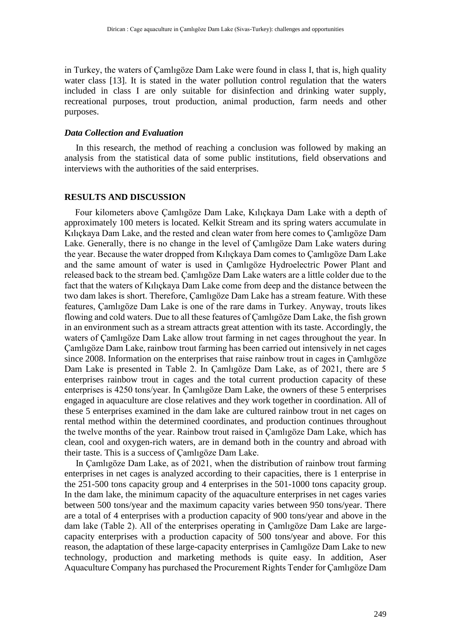in Turkey, the waters of Çamlıgöze Dam Lake were found in class I, that is, high quality water class [13]. It is stated in the water pollution control regulation that the waters included in class I are only suitable for disinfection and drinking water supply, recreational purposes, trout production, animal production, farm needs and other purposes.

### *Data Collection and Evaluation*

 In this research, the method of reaching a conclusion was followed by making an analysis from the statistical data of some public institutions, field observations and interviews with the authorities of the said enterprises.

#### **RESULTS AND DISCUSSION**

Four kilometers above Çamlıgöze Dam Lake, Kılıçkaya Dam Lake with a depth of approximately 100 meters is located. Kelkit Stream and its spring waters accumulate in Kılıçkaya Dam Lake, and the rested and clean water from here comes to Çamlıgöze Dam Lake. Generally, there is no change in the level of Çamlıgöze Dam Lake waters during the year. Because the water dropped from Kılıçkaya Dam comes to Çamlıgöze Dam Lake and the same amount of water is used in Çamlıgöze Hydroelectric Power Plant and released back to the stream bed. Çamlıgöze Dam Lake waters are a little colder due to the fact that the waters of Kılıçkaya Dam Lake come from deep and the distance between the two dam lakes is short. Therefore, Çamlıgöze Dam Lake has a stream feature. With these features, Çamlıgöze Dam Lake is one of the rare dams in Turkey. Anyway, trouts likes flowing and cold waters. Due to all these features of Çamlıgöze Dam Lake, the fish grown in an environment such as a stream attracts great attention with its taste. Accordingly, the waters of Çamlıgöze Dam Lake allow trout farming in net cages throughout the year. In Çamlıgöze Dam Lake, rainbow trout farming has been carried out intensively in net cages since 2008. Information on the enterprises that raise rainbow trout in cages in Çamlıgöze Dam Lake is presented in Table 2. In Çamlıgöze Dam Lake, as of 2021, there are 5 enterprises rainbow trout in cages and the total current production capacity of these enterprises is 4250 tons/year. In Çamlıgöze Dam Lake, the owners of these 5 enterprises engaged in aquaculture are close relatives and they work together in coordination. All of these 5 enterprises examined in the dam lake are cultured rainbow trout in net cages on rental method within the determined coordinates, and production continues throughout the twelve months of the year. Rainbow trout raised in Çamlıgöze Dam Lake, which has clean, cool and oxygen-rich waters, are in demand both in the country and abroad with their taste. This is a success of Çamlıgöze Dam Lake.

 In Çamlıgöze Dam Lake, as of 2021, when the distribution of rainbow trout farming enterprises in net cages is analyzed according to their capacities, there is 1 enterprise in the 251-500 tons capacity group and 4 enterprises in the 501-1000 tons capacity group. In the dam lake, the minimum capacity of the aquaculture enterprises in net cages varies between 500 tons/year and the maximum capacity varies between 950 tons/year. There are a total of 4 enterprises with a production capacity of 900 tons/year and above in the dam lake (Table 2). All of the enterprises operating in Çamlıgöze Dam Lake are largecapacity enterprises with a production capacity of 500 tons/year and above. For this reason, the adaptation of these large-capacity enterprises in Çamlıgöze Dam Lake to new technology, production and marketing methods is quite easy. In addition, Aser Aquaculture Company has purchased the Procurement Rights Tender for Çamlıgöze Dam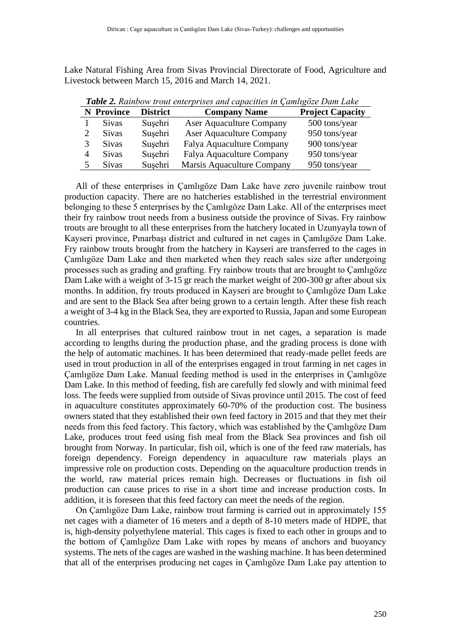Lake Natural Fishing Area from Sivas Provincial Directorate of Food, Agriculture and Livestock between March 15, 2016 and March 14, 2021.

| <b>Tuble 2.</b> Kambow trout emergrises and capacities in Camilgoze Dam Lake |                   |                 |                                 |                         |  |
|------------------------------------------------------------------------------|-------------------|-----------------|---------------------------------|-------------------------|--|
|                                                                              | <b>N</b> Province | <b>District</b> | <b>Company Name</b>             | <b>Project Capacity</b> |  |
|                                                                              | <b>Sivas</b>      | Susehri         | <b>Aser Aquaculture Company</b> | 500 tons/year           |  |
|                                                                              | <b>Sivas</b>      | Susehri         | <b>Aser Aquaculture Company</b> | 950 tons/year           |  |
|                                                                              | <b>Sivas</b>      | Sușehri         | Falya Aquaculture Company       | 900 tons/year           |  |
|                                                                              | <b>Sivas</b>      | Susehri         | Falya Aquaculture Company       | 950 tons/year           |  |
|                                                                              | <b>Sivas</b>      | Susehri         | Marsis Aquaculture Company      | 950 tons/year           |  |

*Table 2. Rainbow trout enterprises and capacities in Çamlıgöze Dam Lake*

 All of these enterprises in Çamlıgöze Dam Lake have zero juvenile rainbow trout production capacity. There are no hatcheries established in the terrestrial environment belonging to these 5 enterprises by the Çamlıgöze Dam Lake. All of the enterprises meet their fry rainbow trout needs from a business outside the province of Sivas. Fry rainbow trouts are brought to all these enterprises from the hatchery located in Uzunyayla town of Kayseri province, Pınarbaşı district and cultured in net cages in Çamlıgöze Dam Lake. Fry rainbow trouts brought from the hatchery in Kayseri are transferred to the cages in Çamlıgöze Dam Lake and then marketed when they reach sales size after undergoing processes such as grading and grafting. Fry rainbow trouts that are brought to Çamlıgöze Dam Lake with a weight of 3-15 gr reach the market weight of 200-300 gr after about six months. In addition, fry trouts produced in Kayseri are brought to Çamlıgöze Dam Lake and are sent to the Black Sea after being grown to a certain length. After these fish reach a weight of 3-4 kg in the Black Sea, they are exported to Russia, Japan and some European countries.

 In all enterprises that cultured rainbow trout in net cages, a separation is made according to lengths during the production phase, and the grading process is done with the help of automatic machines. It has been determined that ready-made pellet feeds are used in trout production in all of the enterprises engaged in trout farming in net cages in Çamlıgöze Dam Lake. Manual feeding method is used in the enterprises in Çamlıgöze Dam Lake. In this method of feeding, fish are carefully fed slowly and with minimal feed loss. The feeds were supplied from outside of Sivas province until 2015. The cost of feed in aquaculture constitutes approximately 60-70% of the production cost. The business owners stated that they established their own feed factory in 2015 and that they met their needs from this feed factory. This factory, which was established by the Çamlıgöze Dam Lake, produces trout feed using fish meal from the Black Sea provinces and fish oil brought from Norway. In particular, fish oil, which is one of the feed raw materials, has foreign dependency. Foreign dependency in aquaculture raw materials plays an impressive role on production costs. Depending on the aquaculture production trends in the world, raw material prices remain high. Decreases or fluctuations in fish oil production can cause prices to rise in a short time and increase production costs. In addition, it is foreseen that this feed factory can meet the needs of the region.

 On Çamlıgöze Dam Lake, rainbow trout farming is carried out in approximately 155 net cages with a diameter of 16 meters and a depth of 8-10 meters made of HDPE, that is, high-density polyethylene material. This cages is fixed to each other in groups and to the bottom of Çamlıgöze Dam Lake with ropes by means of anchors and buoyancy systems. The nets of the cages are washed in the washing machine. It has been determined that all of the enterprises producing net cages in Çamlıgöze Dam Lake pay attention to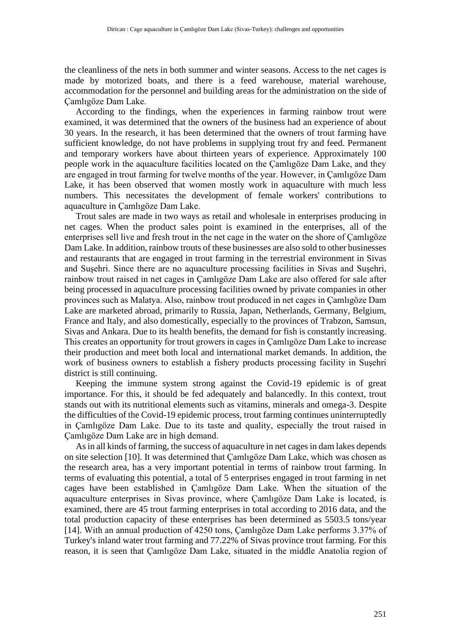the cleanliness of the nets in both summer and winter seasons. Access to the net cages is made by motorized boats, and there is a feed warehouse, material warehouse, accommodation for the personnel and building areas for the administration on the side of Çamlıgöze Dam Lake.

 According to the findings, when the experiences in farming rainbow trout were examined, it was determined that the owners of the business had an experience of about 30 years. In the research, it has been determined that the owners of trout farming have sufficient knowledge, do not have problems in supplying trout fry and feed. Permanent and temporary workers have about thirteen years of experience. Approximately 100 people work in the aquaculture facilities located on the Çamlıgöze Dam Lake, and they are engaged in trout farming for twelve months of the year. However, in Çamlıgöze Dam Lake, it has been observed that women mostly work in aquaculture with much less numbers. This necessitates the development of female workers' contributions to aquaculture in Çamlıgöze Dam Lake.

 Trout sales are made in two ways as retail and wholesale in enterprises producing in net cages. When the product sales point is examined in the enterprises, all of the enterprises sell live and fresh trout in the net cage in the water on the shore of Çamlıgöze Dam Lake. In addition, rainbow trouts of these businesses are also sold to other businesses and restaurants that are engaged in trout farming in the terrestrial environment in Sivas and Suşehri. Since there are no aquaculture processing facilities in Sivas and Suşehri, rainbow trout raised in net cages in Çamlıgöze Dam Lake are also offered for sale after being processed in aquaculture processing facilities owned by private companies in other provinces such as Malatya. Also, rainbow trout produced in net cages in Çamlıgöze Dam Lake are marketed abroad, primarily to Russia, Japan, Netherlands, Germany, Belgium, France and Italy, and also domestically, especially to the provinces of Trabzon, Samsun, Sivas and Ankara. Due to its health benefits, the demand for fish is constantly increasing. This creates an opportunity for trout growers in cages in Çamlıgöze Dam Lake to increase their production and meet both local and international market demands. In addition, the work of business owners to establish a fishery products processing facility in Suşehri district is still continuing.

 Keeping the immune system strong against the Covid-19 epidemic is of great importance. For this, it should be fed adequately and balancedly. In this context, trout stands out with its nutritional elements such as vitamins, minerals and omega-3. Despite the difficulties of the Covid-19 epidemic process, trout farming continues uninterruptedly in Çamlıgöze Dam Lake. Due to its taste and quality, especially the trout raised in Çamlıgöze Dam Lake are in high demand.

 As in all kinds of farming, the success of aquaculture in net cages in dam lakes depends on site selection [10]. It was determined that Çamlıgöze Dam Lake, which was chosen as the research area, has a very important potential in terms of rainbow trout farming. In terms of evaluating this potential, a total of 5 enterprises engaged in trout farming in net cages have been established in Çamlıgöze Dam Lake. When the situation of the aquaculture enterprises in Sivas province, where Çamlıgöze Dam Lake is located, is examined, there are 45 trout farming enterprises in total according to 2016 data, and the total production capacity of these enterprises has been determined as 5503.5 tons/year [14]. With an annual production of 4250 tons, Çamlıgöze Dam Lake performs 3.37% of Turkey's inland water trout farming and 77.22% of Sivas province trout farming. For this reason, it is seen that Çamlıgöze Dam Lake, situated in the middle Anatolia region of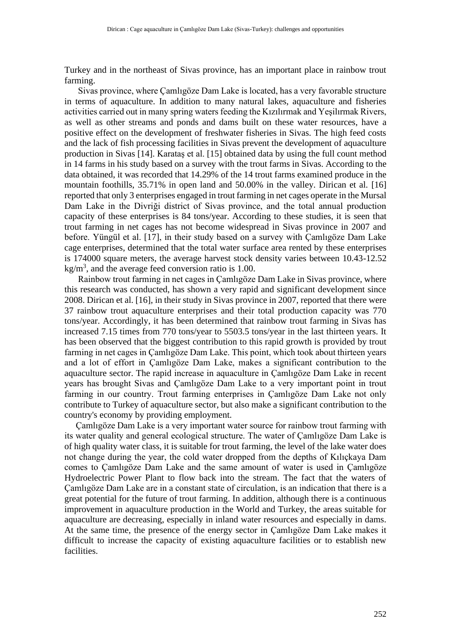Turkey and in the northeast of Sivas province, has an important place in rainbow trout farming.

 Sivas province, where Çamlıgöze Dam Lake is located, has a very favorable structure in terms of aquaculture. In addition to many natural lakes, aquaculture and fisheries activities carried out in many spring waters feeding the Kızılırmak and Yeşilırmak Rivers, as well as other streams and ponds and dams built on these water resources, have a positive effect on the development of freshwater fisheries in Sivas. The high feed costs and the lack of fish processing facilities in Sivas prevent the development of aquaculture production in Sivas [14]. Karataş et al. [15] obtained data by using the full count method in 14 farms in his study based on a survey with the trout farms in Sivas. According to the data obtained, it was recorded that 14.29% of the 14 trout farms examined produce in the mountain foothills, 35.71% in open land and 50.00% in the valley. Dirican et al. [16] reported that only 3 enterprises engaged in trout farming in net cages operate in the Mursal Dam Lake in the Divriği district of Sivas province, and the total annual production capacity of these enterprises is 84 tons/year. According to these studies, it is seen that trout farming in net cages has not become widespread in Sivas province in 2007 and before. Yüngül et al. [17], in their study based on a survey with Çamlıgöze Dam Lake cage enterprises, determined that the total water surface area rented by these enterprises is 174000 square meters, the average harvest stock density varies between 10.43-12.52  $kg/m<sup>3</sup>$ , and the average feed conversion ratio is 1.00.

 Rainbow trout farming in net cages in Çamlıgöze Dam Lake in Sivas province, where this research was conducted, has shown a very rapid and significant development since 2008. Dirican et al. [16], in their study in Sivas province in 2007, reported that there were 37 rainbow trout aquaculture enterprises and their total production capacity was 770 tons/year. Accordingly, it has been determined that rainbow trout farming in Sivas has increased 7.15 times from 770 tons/year to 5503.5 tons/year in the last thirteen years. It has been observed that the biggest contribution to this rapid growth is provided by trout farming in net cages in Çamlıgöze Dam Lake. This point, which took about thirteen years and a lot of effort in Çamlıgöze Dam Lake, makes a significant contribution to the aquaculture sector. The rapid increase in aquaculture in Çamlıgöze Dam Lake in recent years has brought Sivas and Çamlıgöze Dam Lake to a very important point in trout farming in our country. Trout farming enterprises in Çamlıgöze Dam Lake not only contribute to Turkey of aquaculture sector, but also make a significant contribution to the country's economy by providing employment.

 Çamlıgöze Dam Lake is a very important water source for rainbow trout farming with its water quality and general ecological structure. The water of Çamlıgöze Dam Lake is of high quality water class, it is suitable for trout farming, the level of the lake water does not change during the year, the cold water dropped from the depths of Kılıçkaya Dam comes to Çamlıgöze Dam Lake and the same amount of water is used in Çamlıgöze Hydroelectric Power Plant to flow back into the stream. The fact that the waters of Çamlıgöze Dam Lake are in a constant state of circulation, is an indication that there is a great potential for the future of trout farming. In addition, although there is a continuous improvement in aquaculture production in the World and Turkey, the areas suitable for aquaculture are decreasing, especially in inland water resources and especially in dams. At the same time, the presence of the energy sector in Çamlıgöze Dam Lake makes it difficult to increase the capacity of existing aquaculture facilities or to establish new facilities.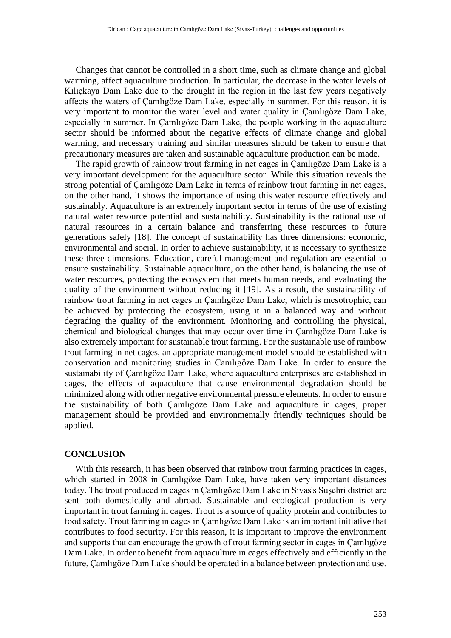Changes that cannot be controlled in a short time, such as climate change and global warming, affect aquaculture production. In particular, the decrease in the water levels of Kılıçkaya Dam Lake due to the drought in the region in the last few years negatively affects the waters of Çamlıgöze Dam Lake, especially in summer. For this reason, it is very important to monitor the water level and water quality in Çamlıgöze Dam Lake, especially in summer. In Çamlıgöze Dam Lake, the people working in the aquaculture sector should be informed about the negative effects of climate change and global warming, and necessary training and similar measures should be taken to ensure that precautionary measures are taken and sustainable aquaculture production can be made.

 The rapid growth of rainbow trout farming in net cages in Çamlıgöze Dam Lake is a very important development for the aquaculture sector. While this situation reveals the strong potential of Çamlıgöze Dam Lake in terms of rainbow trout farming in net cages, on the other hand, it shows the importance of using this water resource effectively and sustainably. Aquaculture is an extremely important sector in terms of the use of existing natural water resource potential and sustainability. Sustainability is the rational use of natural resources in a certain balance and transferring these resources to future generations safely [18]. The concept of sustainability has three dimensions: economic, environmental and social. In order to achieve sustainability, it is necessary to synthesize these three dimensions. Education, careful management and regulation are essential to ensure sustainability. Sustainable aquaculture, on the other hand, is balancing the use of water resources, protecting the ecosystem that meets human needs, and evaluating the quality of the environment without reducing it [19]. As a result, the sustainability of rainbow trout farming in net cages in Çamlıgöze Dam Lake, which is mesotrophic, can be achieved by protecting the ecosystem, using it in a balanced way and without degrading the quality of the environment. Monitoring and controlling the physical, chemical and biological changes that may occur over time in Çamlıgöze Dam Lake is also extremely important for sustainable trout farming. For the sustainable use of rainbow trout farming in net cages, an appropriate management model should be established with conservation and monitoring studies in Çamlıgöze Dam Lake. In order to ensure the sustainability of Çamlıgöze Dam Lake, where aquaculture enterprises are established in cages, the effects of aquaculture that cause environmental degradation should be minimized along with other negative environmental pressure elements. In order to ensure the sustainability of both Çamlıgöze Dam Lake and aquaculture in cages, proper management should be provided and environmentally friendly techniques should be applied.

## **CONCLUSION**

With this research, it has been observed that rainbow trout farming practices in cages, which started in 2008 in Çamlıgöze Dam Lake, have taken very important distances today. The trout produced in cages in Çamlıgöze Dam Lake in Sivas's Suşehri district are sent both domestically and abroad. Sustainable and ecological production is very important in trout farming in cages. Trout is a source of quality protein and contributes to food safety. Trout farming in cages in Çamlıgöze Dam Lake is an important initiative that contributes to food security. For this reason, it is important to improve the environment and supports that can encourage the growth of trout farming sector in cages in Çamlıgöze Dam Lake. In order to benefit from aquaculture in cages effectively and efficiently in the future, Çamlıgöze Dam Lake should be operated in a balance between protection and use.